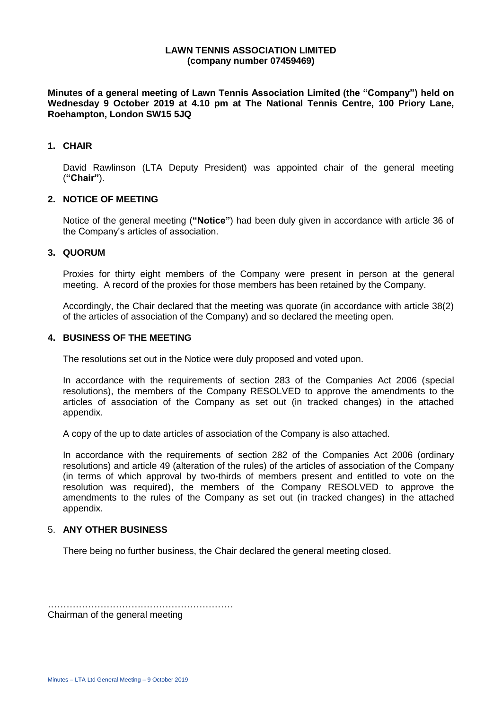#### **LAWN TENNIS ASSOCIATION LIMITED (company number 07459469)**

**Minutes of a general meeting of Lawn Tennis Association Limited (the "Company") held on Wednesday 9 October 2019 at 4.10 pm at The National Tennis Centre, 100 Priory Lane, Roehampton, London SW15 5JQ**

#### **1. CHAIR**

David Rawlinson (LTA Deputy President) was appointed chair of the general meeting (**"Chair"**).

#### **2. NOTICE OF MEETING**

Notice of the general meeting (**"Notice"**) had been duly given in accordance with article 36 of the Company's articles of association.

#### **3. QUORUM**

Proxies for thirty eight members of the Company were present in person at the general meeting. A record of the proxies for those members has been retained by the Company.

Accordingly, the Chair declared that the meeting was quorate (in accordance with article 38(2) of the articles of association of the Company) and so declared the meeting open.

#### **4. BUSINESS OF THE MEETING**

The resolutions set out in the Notice were duly proposed and voted upon.

In accordance with the requirements of section 283 of the Companies Act 2006 (special resolutions), the members of the Company RESOLVED to approve the amendments to the articles of association of the Company as set out (in tracked changes) in the attached appendix.

A copy of the up to date articles of association of the Company is also attached.

In accordance with the requirements of section 282 of the Companies Act 2006 (ordinary resolutions) and article 49 (alteration of the rules) of the articles of association of the Company (in terms of which approval by two-thirds of members present and entitled to vote on the resolution was required), the members of the Company RESOLVED to approve the amendments to the rules of the Company as set out (in tracked changes) in the attached appendix.

### 5. **ANY OTHER BUSINESS**

There being no further business, the Chair declared the general meeting closed.

…………………………………………………… Chairman of the general meeting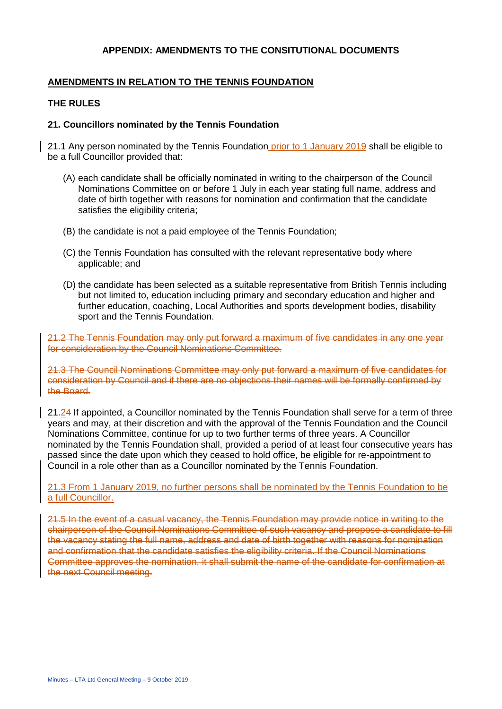### **APPENDIX: AMENDMENTS TO THE CONSITUTIONAL DOCUMENTS**

## **AMENDMENTS IN RELATION TO THE TENNIS FOUNDATION**

#### **THE RULES**

### **21. Councillors nominated by the Tennis Foundation**

21.1 Any person nominated by the Tennis Foundation prior to 1 January 2019 shall be eligible to be a full Councillor provided that:

- (A) each candidate shall be officially nominated in writing to the chairperson of the Council Nominations Committee on or before 1 July in each year stating full name, address and date of birth together with reasons for nomination and confirmation that the candidate satisfies the eligibility criteria;
- (B) the candidate is not a paid employee of the Tennis Foundation;
- (C) the Tennis Foundation has consulted with the relevant representative body where applicable; and
- (D) the candidate has been selected as a suitable representative from British Tennis including but not limited to, education including primary and secondary education and higher and further education, coaching, Local Authorities and sports development bodies, disability sport and the Tennis Foundation.

21.2 The Tennis Foundation may only put forward a maximum of five candidates in any one year for consideration by the Council Nominations Committee.

21.3 The Council Nominations Committee may only put forward a maximum of five candidates for consideration by Council and if there are no objections their names will be formally confirmed by the Board.

21.24 If appointed, a Councillor nominated by the Tennis Foundation shall serve for a term of three years and may, at their discretion and with the approval of the Tennis Foundation and the Council Nominations Committee, continue for up to two further terms of three years. A Councillor nominated by the Tennis Foundation shall, provided a period of at least four consecutive years has passed since the date upon which they ceased to hold office, be eligible for re-appointment to Council in a role other than as a Councillor nominated by the Tennis Foundation.

21.3 From 1 January 2019, no further persons shall be nominated by the Tennis Foundation to be a full Councillor.

21.5 In the event of a casual vacancy, the Tennis Foundation may provide notice in writing to the chairperson of the Council Nominations Committee of such vacancy and propose a candidate to fill the vacancy stating the full name, address and date of birth together with reasons for nomination and confirmation that the candidate satisfies the eligibility criteria. If the Council Nominations Committee approves the nomination, it shall submit the name of the candidate for confirmation at the next Council meeting.